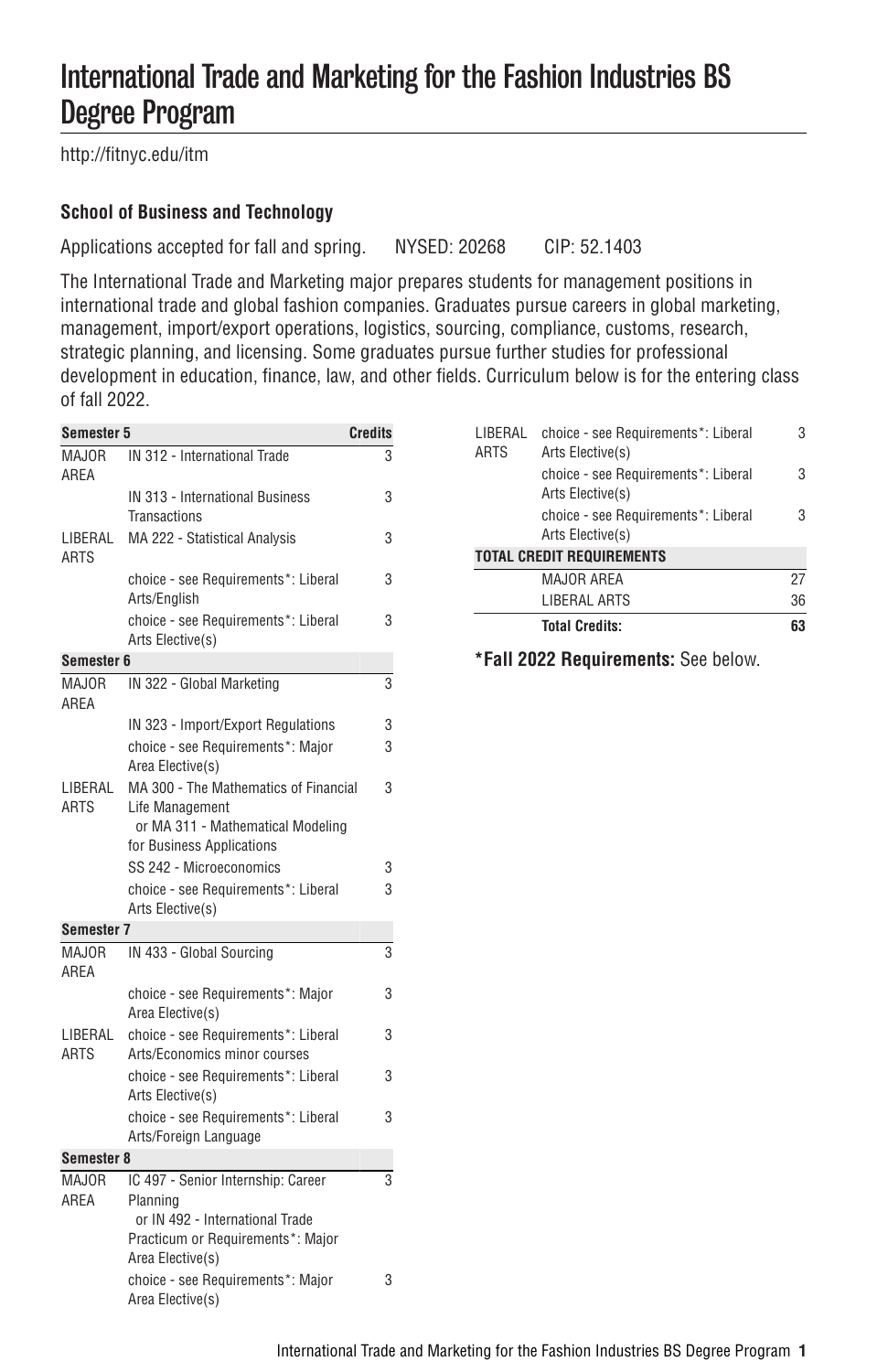# International Trade and Marketing for the Fashion Industries BS Degree Program

[http://fitnyc.edu/itm](http://fitnyc.edu/itm/)

# **School of Business and Technology**

Applications accepted for fall and spring. NYSED: 20268 CIP: 52.1403

The International Trade and Marketing major prepares students for management positions in international trade and global fashion companies. Graduates pursue careers in global marketing, management, import/export operations, logistics, sourcing, compliance, customs, research, strategic planning, and licensing. Some graduates pursue further studies for professional development in education, finance, law, and other fields. Curriculum below is for the entering class of fall 2022.

| Semester 5             |                                                                                                                                            | <b>Credits</b> |  |
|------------------------|--------------------------------------------------------------------------------------------------------------------------------------------|----------------|--|
| MAJOR<br>AREA          | IN 312 - International Trade                                                                                                               | 3              |  |
|                        | IN 313 - International Business<br>Transactions                                                                                            | 3              |  |
| LIBERAL<br><b>ARTS</b> | MA 222 - Statistical Analysis                                                                                                              | 3              |  |
|                        | choice - see Requirements*: Liberal<br>Arts/English                                                                                        | 3              |  |
|                        | choice - see Requirements*: Liberal<br>Arts Elective(s)                                                                                    | 3              |  |
| Semester 6             |                                                                                                                                            |                |  |
| MA.IOR<br>AREA         | IN 322 - Global Marketing                                                                                                                  | 3              |  |
|                        | IN 323 - Import/Export Regulations                                                                                                         | 3              |  |
|                        | choice - see Requirements*: Major<br>Area Elective(s)                                                                                      | 3              |  |
| LIBERAL<br>ARTS        | MA 300 - The Mathematics of Financial<br>Life Management<br>or MA 311 - Mathematical Modeling<br>for Business Applications                 | 3              |  |
|                        | SS 242 - Microeconomics                                                                                                                    | 3              |  |
|                        | choice - see Requirements*: Liberal<br>Arts Elective(s)                                                                                    | 3              |  |
| Semester 7             |                                                                                                                                            |                |  |
| MAJOR<br>AREA          | IN 433 - Global Sourcing                                                                                                                   | 3              |  |
|                        | choice - see Requirements*: Major<br>Area Elective(s)                                                                                      | 3              |  |
| LIBERAL<br><b>ARTS</b> | choice - see Requirements*: Liberal<br>Arts/Economics minor courses                                                                        | 3              |  |
|                        | choice - see Requirements*: Liberal<br>Arts Elective(s)                                                                                    | 3              |  |
|                        | choice - see Requirements*: Liberal<br>Arts/Foreign Language                                                                               | 3              |  |
| Semester 8             |                                                                                                                                            |                |  |
| <b>MAJOR</b><br>AREA   | IC 497 - Senior Internship: Career<br>Planning<br>or IN 492 - International Trade<br>Practicum or Requirements*: Major<br>Area Elective(s) | 3              |  |
|                        | choice - see Requirements*: Major<br>Area Elective(s)                                                                                      | 3              |  |

|                        | <b>LIBERAL ARTS</b>                                     | 36 |
|------------------------|---------------------------------------------------------|----|
|                        | <b>MAJOR AREA</b>                                       | 27 |
|                        | Arts Elective(s)<br><b>TOTAL CREDIT REQUIREMENTS</b>    |    |
|                        | choice - see Requirements*: Liberal                     | 3  |
|                        | choice - see Requirements*: Liberal<br>Arts Elective(s) | 3  |
| LIBERAL<br><b>ARTS</b> | choice - see Requirements*: Liberal<br>Arts Elective(s) | 3  |

**\*Fall 2022 Requirements:** See below.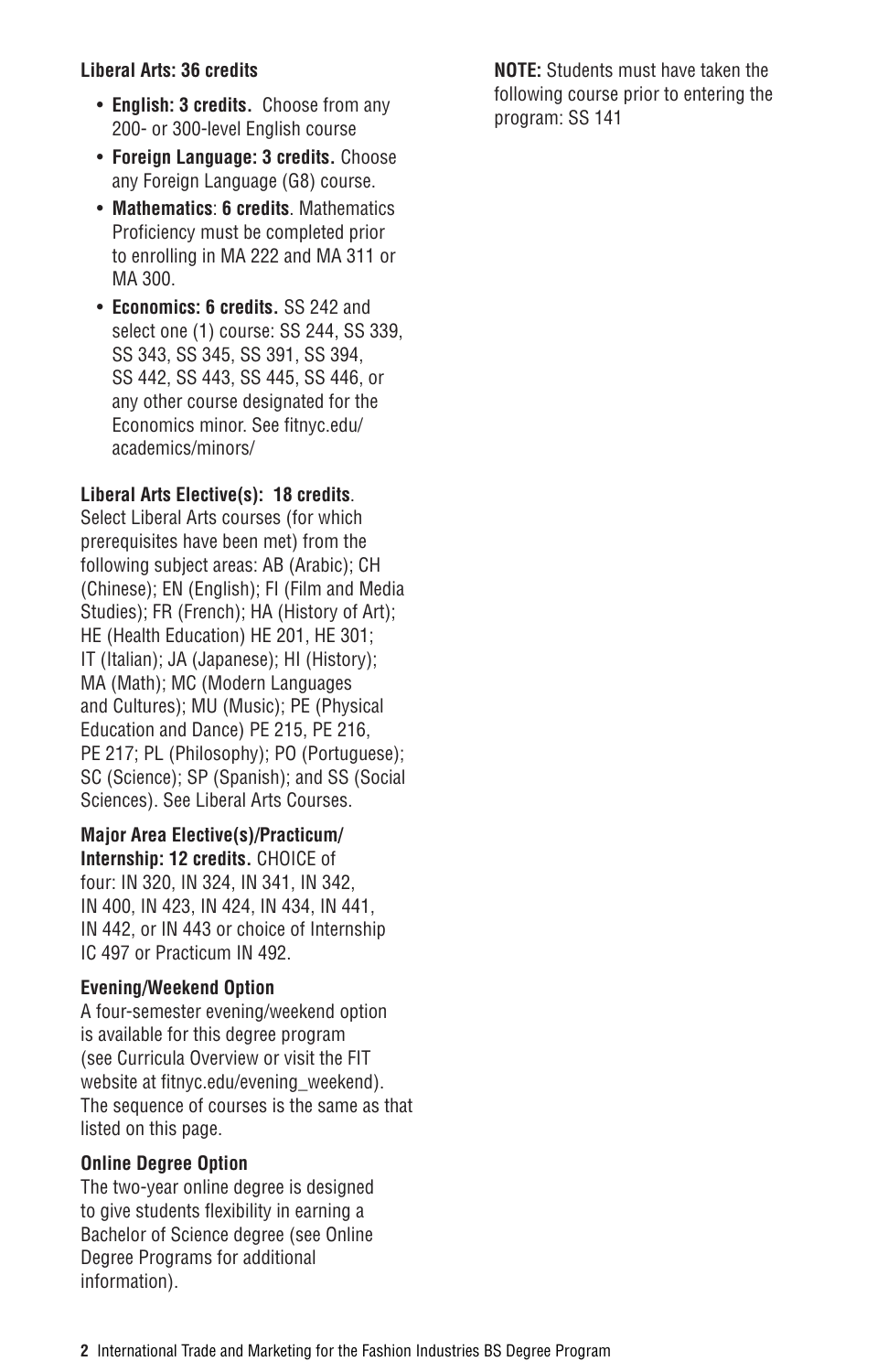## **Liberal Arts: 36 credits**

- **English: 3 credits.** Choose from any 200- or 300-level English course
- **Foreign Language: 3 credits.** Choose any Foreign Language (G8) course.
- **Mathematics**: **6 credits**. Mathematics Proficiency must be completed prior to enrolling in MA 222 and MA 311 or MA 300.
- **Economics: 6 credits.** SS 242 and select one (1) course: SS 244, SS 339, SS 343, SS 345, SS 391, SS 394, SS 442, SS 443, SS 445, SS 446, or any other course designated for the Economics minor. See [fitnyc.edu/](http://www.fitnyc.edu/academics/minors/) [academics/minors/](http://www.fitnyc.edu/academics/minors/)

## **Liberal Arts Elective(s): 18 credits**.

Select Liberal Arts courses (for which prerequisites have been met) from the following subject areas: [AB](http://catalog.fitnyc.edu/undergraduate/courses/ab/) (Arabic); [CH](http://catalog.fitnyc.edu/undergraduate/courses/ch/) (Chinese); [EN](http://catalog.fitnyc.edu/undergraduate/courses/en/) (English); [FI](http://catalog.fitnyc.edu/undergraduate/courses/fi/) (Film and Media Studies); [FR](http://catalog.fitnyc.edu/undergraduate/courses/fr/) (French); [HA](http://catalog.fitnyc.edu/undergraduate/courses/ha/) (History of Art); [HE](http://catalog.fitnyc.edu/undergraduate/courses/he/) (Health Education) HE 201, HE 301; [IT](http://catalog.fitnyc.edu/undergraduate/courses/it/) (Italian); [JA](http://catalog.fitnyc.edu/undergraduate/courses/ja/) (Japanese); [HI](http://catalog.fitnyc.edu/undergraduate/courses/hi/) (History); [MA](http://catalog.fitnyc.edu/undergraduate/courses/ma/) (Math); [MC](http://catalog.fitnyc.edu/undergraduate/courses/mc/) (Modern Languages and Cultures); [MU](http://catalog.fitnyc.edu/undergraduate/courses/MU/) (Music); [PE](http://catalog.fitnyc.edu/undergraduate/courses/pe/) (Physical Education and Dance) PE 215, PE 216, PE 217; [PL](http://catalog.fitnyc.edu/undergraduate/courses/pl/) (Philosophy); [PO](http://catalog.fitnyc.edu/undergraduate/courses/po/) (Portuguese); [SC](http://catalog.fitnyc.edu/undergraduate/courses/sc/) (Science); [SP](http://catalog.fitnyc.edu/undergraduate/courses/sp/) (Spanish); and [SS](http://catalog.fitnyc.edu/undergraduate/courses/ss/) (Social Sciences). See [Liberal Arts Courses](http://catalog.fitnyc.edu/undergraduate/courses/).

**Major Area Elective(s)/Practicum/ Internship: 12 credits.** CHOICE of four: IN 320, IN 324, IN 341, IN 342, IN 400, IN 423, IN 424, IN 434, IN 441, IN 442, or IN 443 or choice of Internship IC 497 or Practicum IN 492.

### **Evening/Weekend Option**

A four-semester evening/weekend option is available for this degree program (see [Curricula Overview](http://catalog.fitnyc.edu/undergraduate/instructionalprograms/curricula/) or visit the FIT website at [fitnyc.edu/evening\\_weekend\)](http://www.fitnyc.edu/evening_weekend/). The sequence of courses is the same as that listed on this page.

### **Online Degree Option**

The two-year online degree is designed to give students flexibility in earning a Bachelor of Science degree (see [Online](https://www.fitnyc.edu/academics/online-learning/degrees.php) [Degree Programs](https://www.fitnyc.edu/academics/online-learning/degrees.php) for additional information).

**NOTE:** Students must have taken the following course prior to entering the program: SS 141